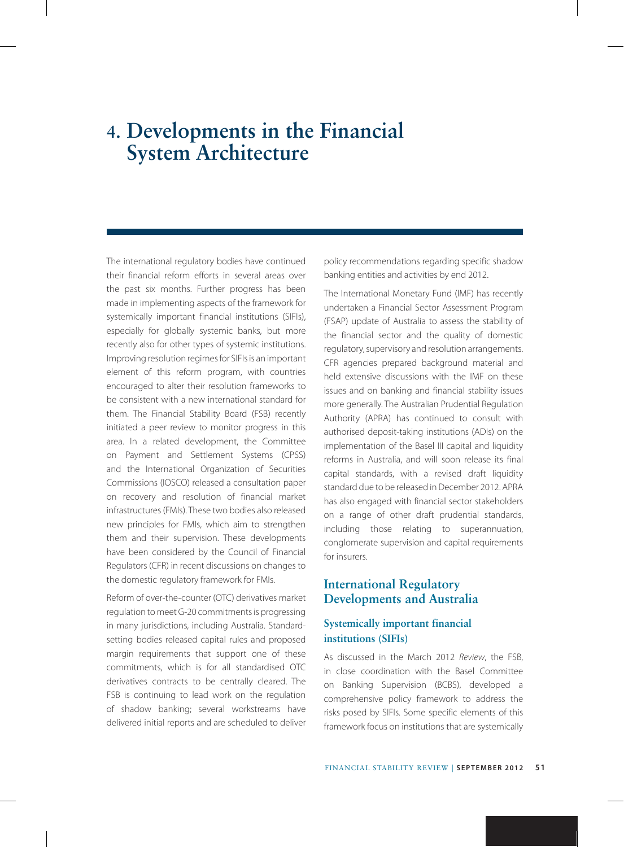# **4. Developments in the Financial System Architecture**

The international regulatory bodies have continued their financial reform efforts in several areas over the past six months. Further progress has been made in implementing aspects of the framework for systemically important financial institutions (SIFIs), especially for globally systemic banks, but more recently also for other types of systemic institutions. Improving resolution regimes for SIFIs is an important element of this reform program, with countries encouraged to alter their resolution frameworks to be consistent with a new international standard for them. The Financial Stability Board (FSB) recently initiated a peer review to monitor progress in this area. In a related development, the Committee on Payment and Settlement Systems (CPSS) and the International Organization of Securities Commissions (IOSCO) released a consultation paper on recovery and resolution of financial market infrastructures (FMIs). These two bodies also released new principles for FMIs, which aim to strengthen them and their supervision. These developments have been considered by the Council of Financial Regulators (CFR) in recent discussions on changes to the domestic regulatory framework for FMIs.

Reform of over-the-counter (OTC) derivatives market regulation to meet G-20 commitments is progressing in many jurisdictions, including Australia. Standardsetting bodies released capital rules and proposed margin requirements that support one of these commitments, which is for all standardised OTC derivatives contracts to be centrally cleared. The FSB is continuing to lead work on the regulation of shadow banking; several workstreams have delivered initial reports and are scheduled to deliver policy recommendations regarding specific shadow banking entities and activities by end 2012.

The International Monetary Fund (IMF) has recently undertaken a Financial Sector Assessment Program (FSAP) update of Australia to assess the stability of the financial sector and the quality of domestic regulatory, supervisory and resolution arrangements. CFR agencies prepared background material and held extensive discussions with the IMF on these issues and on banking and financial stability issues more generally. The Australian Prudential Regulation Authority (APRA) has continued to consult with authorised deposit-taking institutions (ADIs) on the implementation of the Basel III capital and liquidity reforms in Australia, and will soon release its final capital standards, with a revised draft liquidity standard due to be released in December 2012. APRA has also engaged with financial sector stakeholders on a range of other draft prudential standards, including those relating to superannuation, conglomerate supervision and capital requirements for insurers.

# **International Regulatory Developments and Australia**

## **Systemically important financial institutions (SIFIs)**

As discussed in the March 2012 *Review*, the FSB, in close coordination with the Basel Committee on Banking Supervision (BCBS), developed a comprehensive policy framework to address the risks posed by SIFIs. Some specific elements of this framework focus on institutions that are systemically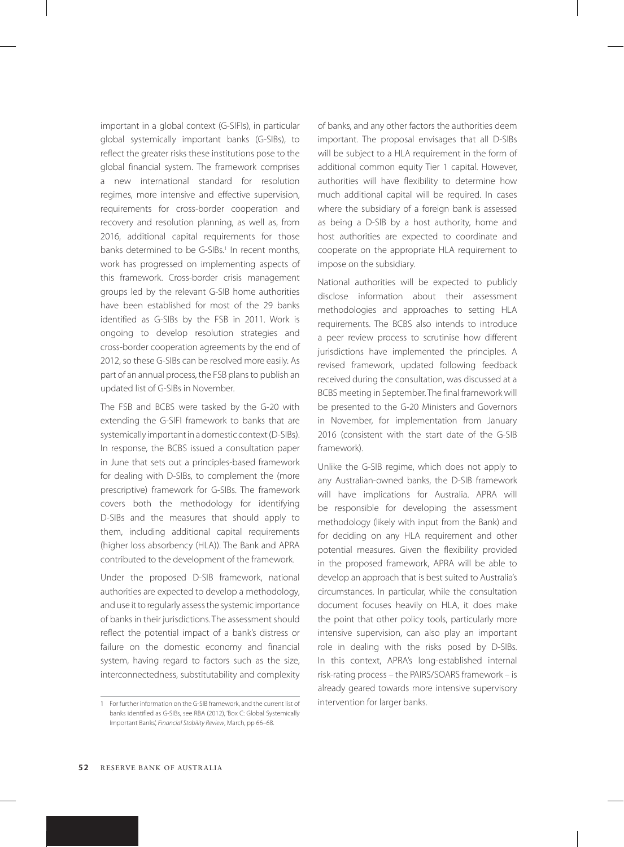important in a global context (G-SIFIs), in particular global systemically important banks (G-SIBs), to reflect the greater risks these institutions pose to the global financial system. The framework comprises a new international standard for resolution regimes, more intensive and effective supervision, requirements for cross-border cooperation and recovery and resolution planning, as well as, from 2016, additional capital requirements for those banks determined to be G-SIBs.<sup>1</sup> In recent months, work has progressed on implementing aspects of this framework. Cross-border crisis management groups led by the relevant G-SIB home authorities have been established for most of the 29 banks identified as G-SIBs by the FSB in 2011. Work is ongoing to develop resolution strategies and cross-border cooperation agreements by the end of 2012, so these G-SIBs can be resolved more easily. As part of an annual process, the FSB plans to publish an updated list of G-SIBs in November.

The FSB and BCBS were tasked by the G-20 with extending the G-SIFI framework to banks that are systemically important in a domestic context (D-SIBs). In response, the BCBS issued a consultation paper in June that sets out a principles-based framework for dealing with D-SIBs, to complement the (more prescriptive) framework for G-SIBs. The framework covers both the methodology for identifying D-SIBs and the measures that should apply to them, including additional capital requirements (higher loss absorbency (HLA)). The Bank and APRA contributed to the development of the framework.

Under the proposed D-SIB framework, national authorities are expected to develop a methodology, and use it to regularly assess the systemic importance of banks in their jurisdictions. The assessment should reflect the potential impact of a bank's distress or failure on the domestic economy and financial system, having regard to factors such as the size, interconnectedness, substitutability and complexity

1 For further information on the G-SIB framework, and the current list of banks identified as G-SIBs, see RBA (2012), 'Box C: Global Systemically Important Banks', *Financial Stability Review*, March, pp 66–68.

of banks, and any other factors the authorities deem important. The proposal envisages that all D-SIBs will be subject to a HLA requirement in the form of additional common equity Tier 1 capital. However, authorities will have flexibility to determine how much additional capital will be required. In cases where the subsidiary of a foreign bank is assessed as being a D-SIB by a host authority, home and host authorities are expected to coordinate and cooperate on the appropriate HLA requirement to impose on the subsidiary.

National authorities will be expected to publicly disclose information about their assessment methodologies and approaches to setting HLA requirements. The BCBS also intends to introduce a peer review process to scrutinise how different jurisdictions have implemented the principles. A revised framework, updated following feedback received during the consultation, was discussed at a BCBS meeting in September. The final framework will be presented to the G-20 Ministers and Governors in November, for implementation from January 2016 (consistent with the start date of the G-SIB framework).

Unlike the G-SIB regime, which does not apply to any Australian-owned banks, the D-SIB framework will have implications for Australia. APRA will be responsible for developing the assessment methodology (likely with input from the Bank) and for deciding on any HLA requirement and other potential measures. Given the flexibility provided in the proposed framework, APRA will be able to develop an approach that is best suited to Australia's circumstances. In particular, while the consultation document focuses heavily on HLA, it does make the point that other policy tools, particularly more intensive supervision, can also play an important role in dealing with the risks posed by D-SIBs. In this context, APRA's long-established internal risk-rating process – the PAIRS/SOARS framework – is already geared towards more intensive supervisory intervention for larger banks.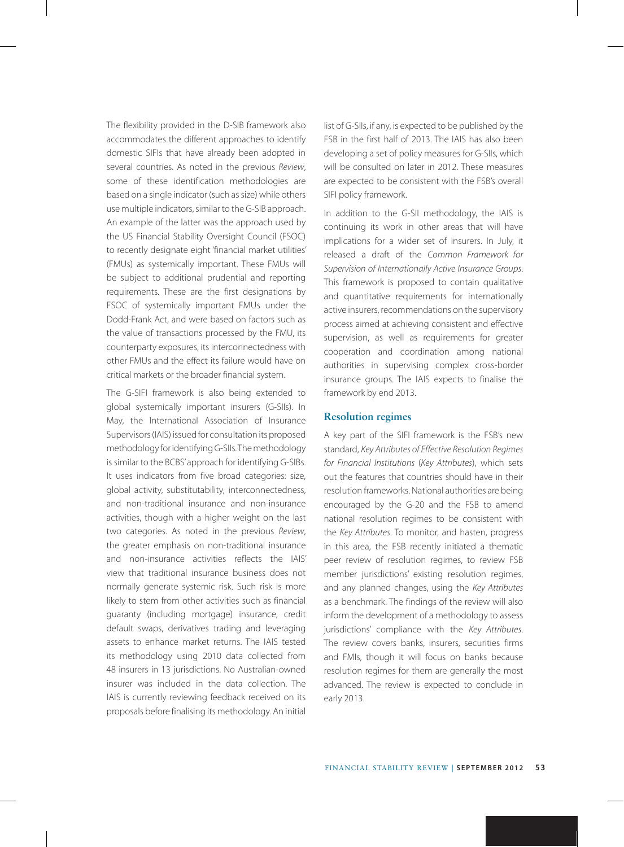The flexibility provided in the D-SIB framework also accommodates the different approaches to identify domestic SIFIs that have already been adopted in several countries. As noted in the previous *Review*, some of these identification methodologies are based on a single indicator (such as size) while others use multiple indicators, similar to the G-SIB approach. An example of the latter was the approach used by the US Financial Stability Oversight Council (FSOC) to recently designate eight 'financial market utilities' (FMUs) as systemically important. These FMUs will be subject to additional prudential and reporting requirements. These are the first designations by FSOC of systemically important FMUs under the Dodd-Frank Act, and were based on factors such as the value of transactions processed by the FMU, its counterparty exposures, its interconnectedness with other FMUs and the effect its failure would have on critical markets or the broader financial system.

The G-SIFI framework is also being extended to global systemically important insurers (G-SIIs). In May, the International Association of Insurance Supervisors (IAIS) issued for consultation its proposed methodology for identifying G-SIIs. The methodology is similar to the BCBS' approach for identifying G-SIBs. It uses indicators from five broad categories: size, global activity, substitutability, interconnectedness, and non-traditional insurance and non-insurance activities, though with a higher weight on the last two categories. As noted in the previous *Review*, the greater emphasis on non-traditional insurance and non-insurance activities reflects the IAIS' view that traditional insurance business does not normally generate systemic risk. Such risk is more likely to stem from other activities such as financial guaranty (including mortgage) insurance, credit default swaps, derivatives trading and leveraging assets to enhance market returns. The IAIS tested its methodology using 2010 data collected from 48 insurers in 13 jurisdictions. No Australian-owned insurer was included in the data collection. The IAIS is currently reviewing feedback received on its proposals before finalising its methodology. An initial list of G-SIIs, if any, is expected to be published by the FSB in the first half of 2013. The IAIS has also been developing a set of policy measures for G-SIIs, which will be consulted on later in 2012. These measures are expected to be consistent with the FSB's overall SIFI policy framework.

In addition to the G-SII methodology, the IAIS is continuing its work in other areas that will have implications for a wider set of insurers. In July, it released a draft of the *Common Framework for Supervision of Internationally Active Insurance Groups*. This framework is proposed to contain qualitative and quantitative requirements for internationally active insurers, recommendations on the supervisory process aimed at achieving consistent and effective supervision, as well as requirements for greater cooperation and coordination among national authorities in supervising complex cross-border insurance groups. The IAIS expects to finalise the framework by end 2013.

#### **Resolution regimes**

A key part of the SIFI framework is the FSB's new standard, *Key Attributes of Effective Resolution Regimes for Financial Institutions* (*Key Attributes*), which sets out the features that countries should have in their resolution frameworks. National authorities are being encouraged by the G-20 and the FSB to amend national resolution regimes to be consistent with the *Key Attributes*. To monitor, and hasten, progress in this area, the FSB recently initiated a thematic peer review of resolution regimes, to review FSB member jurisdictions' existing resolution regimes, and any planned changes, using the *Key Attributes* as a benchmark. The findings of the review will also inform the development of a methodology to assess jurisdictions' compliance with the *Key Attributes*. The review covers banks, insurers, securities firms and FMIs, though it will focus on banks because resolution regimes for them are generally the most advanced. The review is expected to conclude in early 2013.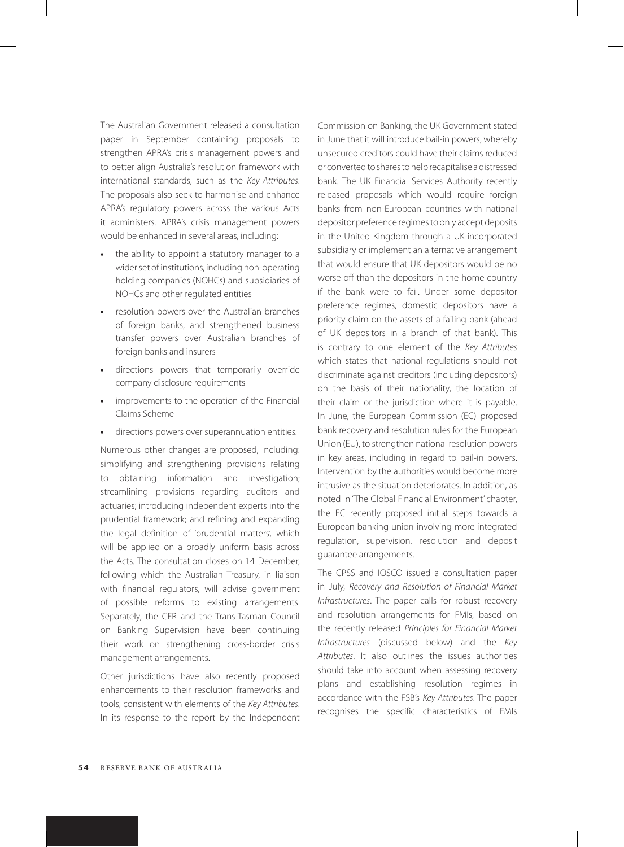The Australian Government released a consultation paper in September containing proposals to strengthen APRA's crisis management powers and to better align Australia's resolution framework with international standards, such as the *Key Attributes*. The proposals also seek to harmonise and enhance APRA's regulatory powers across the various Acts it administers. APRA's crisis management powers would be enhanced in several areas, including:

- **•** the ability to appoint a statutory manager to a wider set of institutions, including non-operating holding companies (NOHCs) and subsidiaries of NOHCs and other regulated entities
- **•** resolution powers over the Australian branches of foreign banks, and strengthened business transfer powers over Australian branches of foreign banks and insurers
- **•** directions powers that temporarily override company disclosure requirements
- **•** improvements to the operation of the Financial Claims Scheme
- **•** directions powers over superannuation entities.

Numerous other changes are proposed, including: simplifying and strengthening provisions relating to obtaining information and investigation; streamlining provisions regarding auditors and actuaries; introducing independent experts into the prudential framework; and refining and expanding the legal definition of 'prudential matters', which will be applied on a broadly uniform basis across the Acts. The consultation closes on 14 December, following which the Australian Treasury, in liaison with financial regulators, will advise government of possible reforms to existing arrangements. Separately, the CFR and the Trans-Tasman Council on Banking Supervision have been continuing their work on strengthening cross-border crisis management arrangements.

Other jurisdictions have also recently proposed enhancements to their resolution frameworks and tools, consistent with elements of the *Key Attributes*. In its response to the report by the Independent Commission on Banking, the UK Government stated in June that it will introduce bail-in powers, whereby unsecured creditors could have their claims reduced or converted to shares to help recapitalise a distressed bank. The UK Financial Services Authority recently released proposals which would require foreign banks from non-European countries with national depositor preference regimes to only accept deposits in the United Kingdom through a UK-incorporated subsidiary or implement an alternative arrangement that would ensure that UK depositors would be no worse off than the depositors in the home country if the bank were to fail. Under some depositor preference regimes, domestic depositors have a priority claim on the assets of a failing bank (ahead of UK depositors in a branch of that bank). This is contrary to one element of the *Key Attributes* which states that national regulations should not discriminate against creditors (including depositors) on the basis of their nationality, the location of their claim or the jurisdiction where it is payable. In June, the European Commission (EC) proposed bank recovery and resolution rules for the European Union (EU), to strengthen national resolution powers in key areas, including in regard to bail-in powers. Intervention by the authorities would become more intrusive as the situation deteriorates. In addition, as noted in 'The Global Financial Environment' chapter, the EC recently proposed initial steps towards a European banking union involving more integrated regulation, supervision, resolution and deposit guarantee arrangements.

The CPSS and IOSCO issued a consultation paper in July, *Recovery and Resolution of Financial Market Infrastructures*. The paper calls for robust recovery and resolution arrangements for FMIs, based on the recently released *Principles for Financial Market Infrastructures* (discussed below) and the *Key Attributes*. It also outlines the issues authorities should take into account when assessing recovery plans and establishing resolution regimes in accordance with the FSB's *Key Attributes*. The paper recognises the specific characteristics of FMIs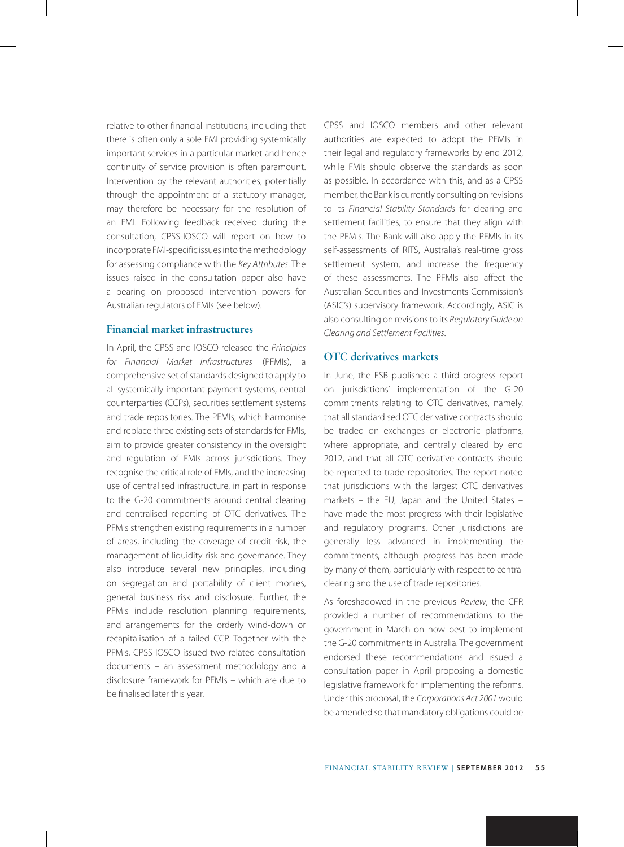relative to other financial institutions, including that there is often only a sole FMI providing systemically important services in a particular market and hence continuity of service provision is often paramount. Intervention by the relevant authorities, potentially through the appointment of a statutory manager, may therefore be necessary for the resolution of an FMI. Following feedback received during the consultation, CPSS-IOSCO will report on how to incorporate FMI-specific issues into the methodology for assessing compliance with the *Key Attributes*. The issues raised in the consultation paper also have a bearing on proposed intervention powers for Australian regulators of FMIs (see below).

## **Financial market infrastructures**

In April, the CPSS and IOSCO released the *Principles for Financial Market Infrastructures* (PFMIs), a comprehensive set of standards designed to apply to all systemically important payment systems, central counterparties (CCPs), securities settlement systems and trade repositories. The PFMIs, which harmonise and replace three existing sets of standards for FMIs, aim to provide greater consistency in the oversight and regulation of FMIs across jurisdictions. They recognise the critical role of FMIs, and the increasing use of centralised infrastructure, in part in response to the G-20 commitments around central clearing and centralised reporting of OTC derivatives. The PFMIs strengthen existing requirements in a number of areas, including the coverage of credit risk, the management of liquidity risk and governance. They also introduce several new principles, including on segregation and portability of client monies, general business risk and disclosure. Further, the PFMIs include resolution planning requirements, and arrangements for the orderly wind-down or recapitalisation of a failed CCP. Together with the PFMIs, CPSS-IOSCO issued two related consultation documents – an assessment methodology and a disclosure framework for PFMIs – which are due to be finalised later this year.

CPSS and IOSCO members and other relevant authorities are expected to adopt the PFMIs in their legal and regulatory frameworks by end 2012, while FMIs should observe the standards as soon as possible. In accordance with this, and as a CPSS member, the Bank is currently consulting on revisions to its *Financial Stability Standards* for clearing and settlement facilities, to ensure that they align with the PFMIs. The Bank will also apply the PFMIs in its self-assessments of RITS, Australia's real-time gross settlement system, and increase the frequency of these assessments. The PFMIs also affect the Australian Securities and Investments Commission's (ASIC's) supervisory framework. Accordingly, ASIC is also consulting on revisions to its *Regulatory Guide on Clearing and Settlement Facilities*.

## **OTC derivatives markets**

In June, the FSB published a third progress report on jurisdictions' implementation of the G-20 commitments relating to OTC derivatives, namely, that all standardised OTC derivative contracts should be traded on exchanges or electronic platforms, where appropriate, and centrally cleared by end 2012, and that all OTC derivative contracts should be reported to trade repositories. The report noted that jurisdictions with the largest OTC derivatives markets – the EU, Japan and the United States – have made the most progress with their legislative and regulatory programs. Other jurisdictions are generally less advanced in implementing the commitments, although progress has been made by many of them, particularly with respect to central clearing and the use of trade repositories.

As foreshadowed in the previous *Review*, the CFR provided a number of recommendations to the government in March on how best to implement the G-20 commitments in Australia. The government endorsed these recommendations and issued a consultation paper in April proposing a domestic legislative framework for implementing the reforms. Under this proposal, the *Corporations Act 2001* would be amended so that mandatory obligations could be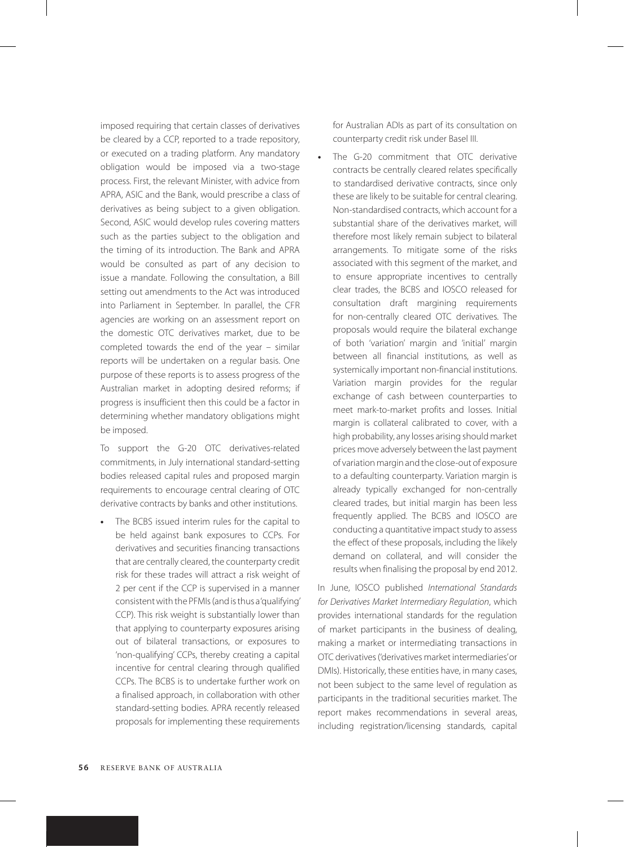imposed requiring that certain classes of derivatives be cleared by a CCP, reported to a trade repository, or executed on a trading platform. Any mandatory obligation would be imposed via a two-stage process. First, the relevant Minister, with advice from APRA, ASIC and the Bank, would prescribe a class of derivatives as being subject to a given obligation. Second, ASIC would develop rules covering matters such as the parties subject to the obligation and the timing of its introduction. The Bank and APRA would be consulted as part of any decision to issue a mandate. Following the consultation, a Bill setting out amendments to the Act was introduced into Parliament in September. In parallel, the CFR agencies are working on an assessment report on the domestic OTC derivatives market, due to be completed towards the end of the year – similar reports will be undertaken on a regular basis. One purpose of these reports is to assess progress of the Australian market in adopting desired reforms; if progress is insufficient then this could be a factor in determining whether mandatory obligations might be imposed.

To support the G-20 OTC derivatives-related commitments, in July international standard-setting bodies released capital rules and proposed margin requirements to encourage central clearing of OTC derivative contracts by banks and other institutions.

**•** The BCBS issued interim rules for the capital to be held against bank exposures to CCPs. For derivatives and securities financing transactions that are centrally cleared, the counterparty credit risk for these trades will attract a risk weight of 2 per cent if the CCP is supervised in a manner consistent with the PFMIs (and is thus a 'qualifying' CCP). This risk weight is substantially lower than that applying to counterparty exposures arising out of bilateral transactions, or exposures to 'non-qualifying' CCPs, thereby creating a capital incentive for central clearing through qualified CCPs. The BCBS is to undertake further work on a finalised approach, in collaboration with other standard-setting bodies. APRA recently released proposals for implementing these requirements

for Australian ADIs as part of its consultation on counterparty credit risk under Basel III.

**•** The G-20 commitment that OTC derivative contracts be centrally cleared relates specifically to standardised derivative contracts, since only these are likely to be suitable for central clearing. Non-standardised contracts, which account for a substantial share of the derivatives market, will therefore most likely remain subject to bilateral arrangements. To mitigate some of the risks associated with this segment of the market, and to ensure appropriate incentives to centrally clear trades, the BCBS and IOSCO released for consultation draft margining requirements for non-centrally cleared OTC derivatives. The proposals would require the bilateral exchange of both 'variation' margin and 'initial' margin between all financial institutions, as well as systemically important non-financial institutions. Variation margin provides for the regular exchange of cash between counterparties to meet mark-to-market profits and losses. Initial margin is collateral calibrated to cover, with a high probability, any losses arising should market prices move adversely between the last payment of variation margin and the close-out of exposure to a defaulting counterparty. Variation margin is already typically exchanged for non-centrally cleared trades, but initial margin has been less frequently applied. The BCBS and IOSCO are conducting a quantitative impact study to assess the effect of these proposals, including the likely demand on collateral, and will consider the results when finalising the proposal by end 2012.

In June, IOSCO published *International Standards for Derivatives Market Intermediary Regulation*, which provides international standards for the regulation of market participants in the business of dealing, making a market or intermediating transactions in OTC derivatives ('derivatives market intermediaries' or DMIs). Historically, these entities have, in many cases, not been subject to the same level of regulation as participants in the traditional securities market. The report makes recommendations in several areas, including registration/licensing standards, capital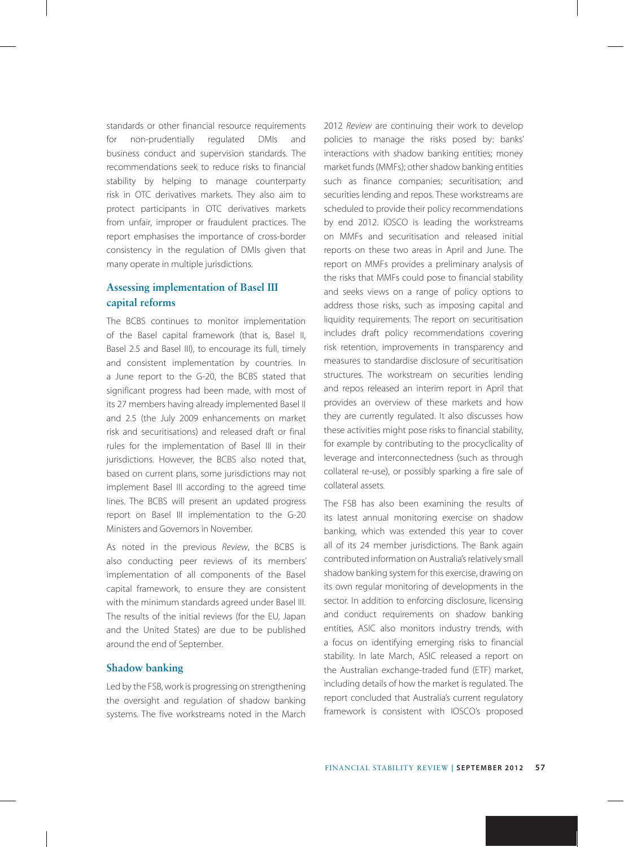standards or other financial resource requirements for non-prudentially regulated DMIs and business conduct and supervision standards. The recommendations seek to reduce risks to financial stability by helping to manage counterparty risk in OTC derivatives markets. They also aim to protect participants in OTC derivatives markets from unfair, improper or fraudulent practices. The report emphasises the importance of cross-border consistency in the regulation of DMIs given that many operate in multiple jurisdictions.

# **Assessing implementation of Basel III capital reforms**

The BCBS continues to monitor implementation of the Basel capital framework (that is, Basel II, Basel 2.5 and Basel III), to encourage its full, timely and consistent implementation by countries. In a June report to the G-20, the BCBS stated that significant progress had been made, with most of its 27 members having already implemented Basel II and 2.5 (the July 2009 enhancements on market risk and securitisations) and released draft or final rules for the implementation of Basel III in their jurisdictions. However, the BCBS also noted that, based on current plans, some jurisdictions may not implement Basel III according to the agreed time lines. The BCBS will present an updated progress report on Basel III implementation to the G-20 Ministers and Governors in November.

As noted in the previous *Review*, the BCBS is also conducting peer reviews of its members' implementation of all components of the Basel capital framework, to ensure they are consistent with the minimum standards agreed under Basel III. The results of the initial reviews (for the EU, Japan and the United States) are due to be published around the end of September.

## **Shadow banking**

Led by the FSB, work is progressing on strengthening the oversight and regulation of shadow banking systems. The five workstreams noted in the March 2012 *Review* are continuing their work to develop policies to manage the risks posed by: banks' interactions with shadow banking entities; money market funds (MMFs); other shadow banking entities such as finance companies; securitisation; and securities lending and repos. These workstreams are scheduled to provide their policy recommendations by end 2012. IOSCO is leading the workstreams on MMFs and securitisation and released initial reports on these two areas in April and June. The report on MMFs provides a preliminary analysis of the risks that MMFs could pose to financial stability and seeks views on a range of policy options to address those risks, such as imposing capital and liquidity requirements. The report on securitisation includes draft policy recommendations covering risk retention, improvements in transparency and measures to standardise disclosure of securitisation structures. The workstream on securities lending and repos released an interim report in April that provides an overview of these markets and how they are currently regulated. It also discusses how these activities might pose risks to financial stability, for example by contributing to the procyclicality of leverage and interconnectedness (such as through collateral re-use), or possibly sparking a fire sale of collateral assets.

The FSB has also been examining the results of its latest annual monitoring exercise on shadow banking, which was extended this year to cover all of its 24 member jurisdictions. The Bank again contributed information on Australia's relatively small shadow banking system for this exercise, drawing on its own regular monitoring of developments in the sector. In addition to enforcing disclosure, licensing and conduct requirements on shadow banking entities, ASIC also monitors industry trends, with a focus on identifying emerging risks to financial stability. In late March, ASIC released a report on the Australian exchange-traded fund (ETF) market, including details of how the market is regulated. The report concluded that Australia's current regulatory framework is consistent with IOSCO's proposed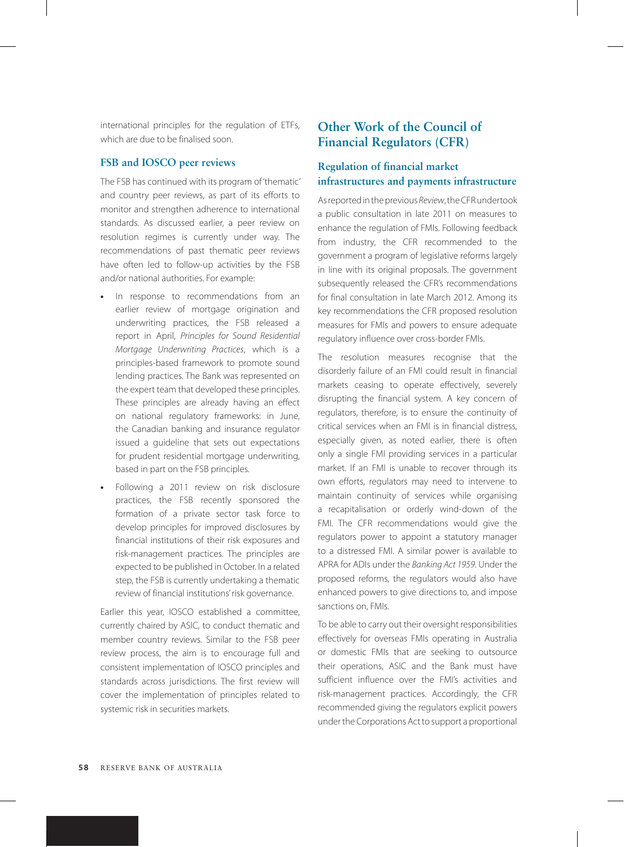international principles for the regulation of ETFs, which are due to be finalised soon.

#### **FSB and IOSCO peer reviews**

The FSB has continued with its program of 'thematic' and country peer reviews, as part of its efforts to monitor and strengthen adherence to international standards. As discussed earlier, a peer review on resolution regimes is currently under way. The recommendations of past thematic peer reviews have often led to follow-up activities by the FSB and/or national authorities. For example:

- **•** In response to recommendations from an earlier review of mortgage origination and underwriting practices, the FSB released a report in April, *Principles for Sound Residential Mortgage Underwriting Practices*, which is a principles-based framework to promote sound lending practices. The Bank was represented on the expert team that developed these principles. These principles are already having an effect on national regulatory frameworks: in June, the Canadian banking and insurance regulator issued a guideline that sets out expectations for prudent residential mortgage underwriting, based in part on the FSB principles.
- **•** Following a 2011 review on risk disclosure practices, the FSB recently sponsored the formation of a private sector task force to develop principles for improved disclosures by financial institutions of their risk exposures and risk-management practices. The principles are expected to be published in October. In a related step, the FSB is currently undertaking a thematic review of financial institutions' risk governance.

Earlier this year, IOSCO established a committee, currently chaired by ASIC, to conduct thematic and member country reviews. Similar to the FSB peer review process, the aim is to encourage full and consistent implementation of IOSCO principles and standards across jurisdictions. The first review will cover the implementation of principles related to systemic risk in securities markets.

# **Other Work of the Council of Financial Regulators (CFR)**

# **Regulation of financial market infrastructures and payments infrastructure**

As reported in the previous *Review*, the CFR undertook a public consultation in late 2011 on measures to enhance the regulation of FMIs. Following feedback from industry, the CFR recommended to the government a program of legislative reforms largely in line with its original proposals. The government subsequently released the CFR's recommendations for final consultation in late March 2012. Among its key recommendations the CFR proposed resolution measures for FMIs and powers to ensure adequate regulatory influence over cross-border FMIs.

The resolution measures recognise that the disorderly failure of an FMI could result in financial markets ceasing to operate effectively, severely disrupting the financial system. A key concern of regulators, therefore, is to ensure the continuity of critical services when an FMI is in financial distress, especially given, as noted earlier, there is often only a single FMI providing services in a particular market. If an FMI is unable to recover through its own efforts, regulators may need to intervene to maintain continuity of services while organising a recapitalisation or orderly wind-down of the FMI. The CFR recommendations would give the regulators power to appoint a statutory manager to a distressed FMI. A similar power is available to APRA for ADIs under the *Banking Act 1959*. Under the proposed reforms, the regulators would also have enhanced powers to give directions to, and impose sanctions on, FMIs.

To be able to carry out their oversight responsibilities effectively for overseas FMIs operating in Australia or domestic FMIs that are seeking to outsource their operations, ASIC and the Bank must have sufficient influence over the FMI's activities and risk-management practices. Accordingly, the CFR recommended giving the regulators explicit powers under the Corporations Actto support a proportional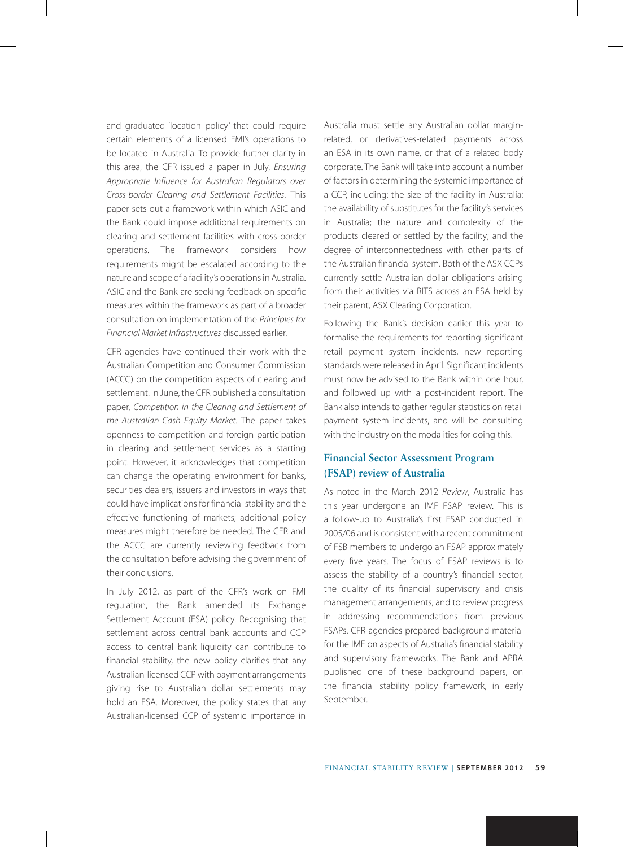and graduated 'location policy' that could require certain elements of a licensed FMI's operations to be located in Australia. To provide further clarity in this area, the CFR issued a paper in July, *Ensuring Appropriate Influence for Australian Regulators over Cross-border Clearing and Settlement Facilities*. This paper sets out a framework within which ASIC and the Bank could impose additional requirements on clearing and settlement facilities with cross-border operations. The framework considers how requirements might be escalated according to the nature and scope of a facility's operations in Australia. ASIC and the Bank are seeking feedback on specific measures within the framework as part of a broader consultation on implementation of the *Principles for Financial Market Infrastructures* discussed earlier.

CFR agencies have continued their work with the Australian Competition and Consumer Commission (ACCC) on the competition aspects of clearing and settlement. In June, the CFR published a consultation paper, *Competition in the Clearing and Settlement of the Australian Cash Equity Market*. The paper takes openness to competition and foreign participation in clearing and settlement services as a starting point. However, it acknowledges that competition can change the operating environment for banks, securities dealers, issuers and investors in ways that could have implications for financial stability and the effective functioning of markets; additional policy measures might therefore be needed. The CFR and the ACCC are currently reviewing feedback from the consultation before advising the government of their conclusions.

In July 2012, as part of the CFR's work on FMI regulation, the Bank amended its Exchange Settlement Account (ESA) policy. Recognising that settlement across central bank accounts and CCP access to central bank liquidity can contribute to financial stability, the new policy clarifies that any Australian-licensed CCP with payment arrangements giving rise to Australian dollar settlements may hold an ESA. Moreover, the policy states that any Australian-licensed CCP of systemic importance in Australia must settle any Australian dollar marginrelated, or derivatives-related payments across an ESA in its own name, or that of a related body corporate. The Bank will take into account a number of factors in determining the systemic importance of a CCP, including: the size of the facility in Australia; the availability of substitutes for the facility's services in Australia; the nature and complexity of the products cleared or settled by the facility; and the degree of interconnectedness with other parts of the Australian financial system. Both of the ASX CCPs currently settle Australian dollar obligations arising from their activities via RITS across an ESA held by their parent, ASX Clearing Corporation.

Following the Bank's decision earlier this year to formalise the requirements for reporting significant retail payment system incidents, new reporting standards were released in April. Significant incidents must now be advised to the Bank within one hour, and followed up with a post-incident report. The Bank also intends to gather regular statistics on retail payment system incidents, and will be consulting with the industry on the modalities for doing this.

## **Financial Sector Assessment Program (FSAP) review of Australia**

As noted in the March 2012 *Review*, Australia has this year undergone an IMF FSAP review. This is a follow-up to Australia's first FSAP conducted in 2005/06 and is consistent with a recent commitment of FSB members to undergo an FSAP approximately every five years. The focus of FSAP reviews is to assess the stability of a country's financial sector, the quality of its financial supervisory and crisis management arrangements, and to review progress in addressing recommendations from previous FSAPs. CFR agencies prepared background material for the IMF on aspects of Australia's financial stability and supervisory frameworks. The Bank and APRA published one of these background papers, on the financial stability policy framework, in early September.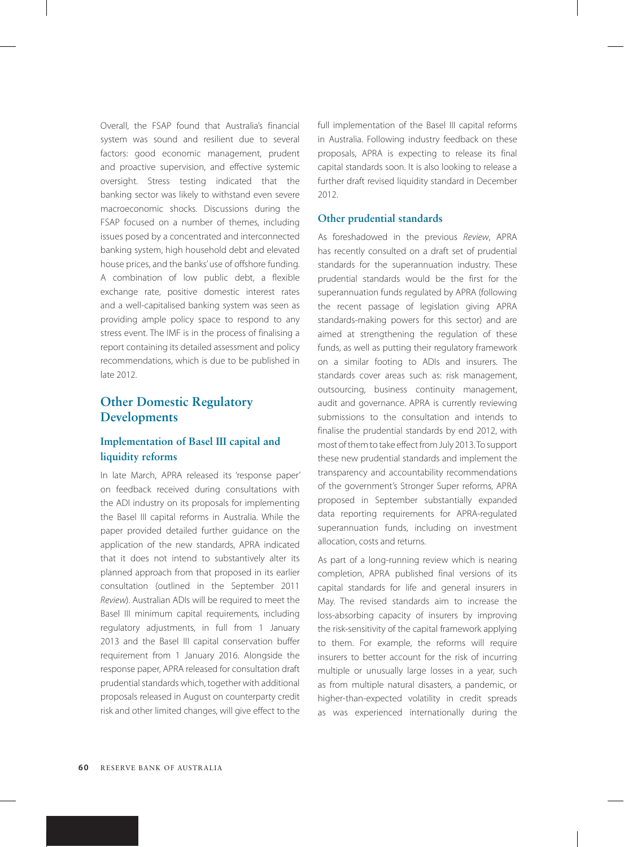Overall, the FSAP found that Australia's financial system was sound and resilient due to several factors: good economic management, prudent and proactive supervision, and effective systemic oversight. Stress testing indicated that the banking sector was likely to withstand even severe macroeconomic shocks. Discussions during the FSAP focused on a number of themes, including issues posed by a concentrated and interconnected banking system, high household debt and elevated house prices, and the banks' use of offshore funding. A combination of low public debt, a flexible exchange rate, positive domestic interest rates and a well-capitalised banking system was seen as providing ample policy space to respond to any stress event. The IMF is in the process of finalising a report containing its detailed assessment and policy recommendations, which is due to be published in late 2012.

# **Other Domestic Regulatory Developments**

# **Implementation of Basel III capital and liquidity reforms**

In late March, APRA released its 'response paper' on feedback received during consultations with the ADI industry on its proposals for implementing the Basel III capital reforms in Australia. While the paper provided detailed further guidance on the application of the new standards, APRA indicated that it does not intend to substantively alter its planned approach from that proposed in its earlier consultation (outlined in the September 2011 *Review*). Australian ADIs will be required to meet the Basel III minimum capital requirements, including regulatory adjustments, in full from 1 January 2013 and the Basel III capital conservation buffer requirement from 1 January 2016. Alongside the response paper, APRA released for consultation draft prudential standards which, together with additional proposals released in August on counterparty credit risk and other limited changes, will give effect to the

full implementation of the Basel III capital reforms in Australia. Following industry feedback on these proposals, APRA is expecting to release its final capital standards soon. It is also looking to release a further draft revised liquidity standard in December 2012.

## **Other prudential standards**

As foreshadowed in the previous *Review*, APRA has recently consulted on a draft set of prudential standards for the superannuation industry. These prudential standards would be the first for the superannuation funds regulated by APRA (following the recent passage of legislation giving APRA standards-making powers for this sector) and are aimed at strengthening the regulation of these funds, as well as putting their regulatory framework on a similar footing to ADIs and insurers. The standards cover areas such as: risk management, outsourcing, business continuity management, audit and governance. APRA is currently reviewing submissions to the consultation and intends to finalise the prudential standards by end 2012, with most of them to take effect from July 2013. To support these new prudential standards and implement the transparency and accountability recommendations of the government's Stronger Super reforms, APRA proposed in September substantially expanded data reporting requirements for APRA-regulated superannuation funds, including on investment allocation, costs and returns.

As part of a long-running review which is nearing completion, APRA published final versions of its capital standards for life and general insurers in May. The revised standards aim to increase the loss-absorbing capacity of insurers by improving the risk-sensitivity of the capital framework applying to them. For example, the reforms will require insurers to better account for the risk of incurring multiple or unusually large losses in a year, such as from multiple natural disasters, a pandemic, or higher-than-expected volatility in credit spreads as was experienced internationally during the